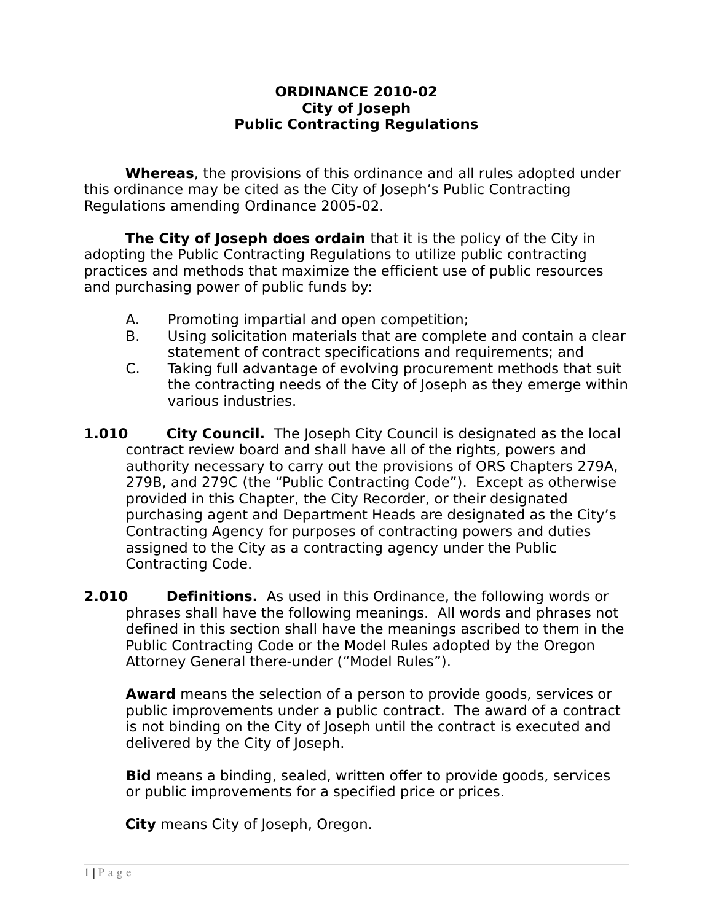#### **ORDINANCE 2010-02 City of Joseph Public Contracting Regulations**

**Whereas**, the provisions of this ordinance and all rules adopted under this ordinance may be cited as the City of Joseph's Public Contracting Regulations amending Ordinance 2005-02.

**The City of Joseph does ordain** that it is the policy of the City in adopting the Public Contracting Regulations to utilize public contracting practices and methods that maximize the efficient use of public resources and purchasing power of public funds by:

- A. Promoting impartial and open competition;
- B. Using solicitation materials that are complete and contain a clear statement of contract specifications and requirements; and
- C. Taking full advantage of evolving procurement methods that suit the contracting needs of the City of Joseph as they emerge within various industries.
- **1.010 •• City Council.** The Joseph City Council is designated as the local contract review board and shall have all of the rights, powers and authority necessary to carry out the provisions of ORS Chapters 279A, 279B, and 279C (the "Public Contracting Code"). Except as otherwise provided in this Chapter, the City Recorder, or their designated purchasing agent and Department Heads are designated as the City's Contracting Agency for purposes of contracting powers and duties assigned to the City as a contracting agency under the Public Contracting Code.
- **2.010 Definitions.** As used in this Ordinance, the following words or phrases shall have the following meanings. All words and phrases not defined in this section shall have the meanings ascribed to them in the Public Contracting Code or the Model Rules adopted by the Oregon Attorney General there-under ("Model Rules").

**Award** means the selection of a person to provide goods, services or public improvements under a public contract. The award of a contract is not binding on the City of Joseph until the contract is executed and delivered by the City of Joseph.

**Bid** means a binding, sealed, written offer to provide goods, services or public improvements for a specified price or prices.

**City** means City of Joseph, Oregon.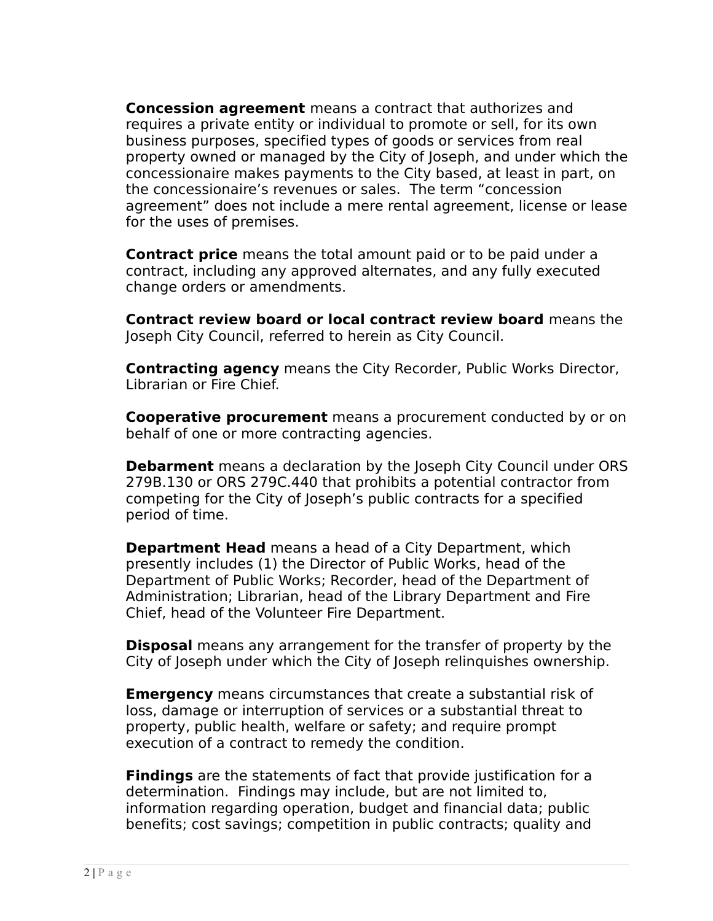**Concession agreement** means a contract that authorizes and requires a private entity or individual to promote or sell, for its own business purposes, specified types of goods or services from real property owned or managed by the City of Joseph, and under which the concessionaire makes payments to the City based, at least in part, on the concessionaire's revenues or sales. The term "concession agreement" does not include a mere rental agreement, license or lease for the uses of premises.

**Contract price** means the total amount paid or to be paid under a contract, including any approved alternates, and any fully executed change orders or amendments.

**Contract review board or local contract review board** means the Joseph City Council, referred to herein as City Council.

**Contracting agency** means the City Recorder, Public Works Director, Librarian or Fire Chief.

**Cooperative procurement** means a procurement conducted by or on behalf of one or more contracting agencies.

**Debarment** means a declaration by the Joseph City Council under ORS 279B.130 or ORS 279C.440 that prohibits a potential contractor from competing for the City of Joseph's public contracts for a specified period of time.

**Department Head** means a head of a City Department, which presently includes (1) the Director of Public Works, head of the Department of Public Works; Recorder, head of the Department of Administration; Librarian, head of the Library Department and Fire Chief, head of the Volunteer Fire Department.

**Disposal** means any arrangement for the transfer of property by the City of Joseph under which the City of Joseph relinguishes ownership.

**Emergency** means circumstances that create a substantial risk of loss, damage or interruption of services or a substantial threat to property, public health, welfare or safety; and require prompt execution of a contract to remedy the condition.

**Findings** are the statements of fact that provide justification for a determination. Findings may include, but are not limited to, information regarding operation, budget and financial data; public benefits; cost savings; competition in public contracts; quality and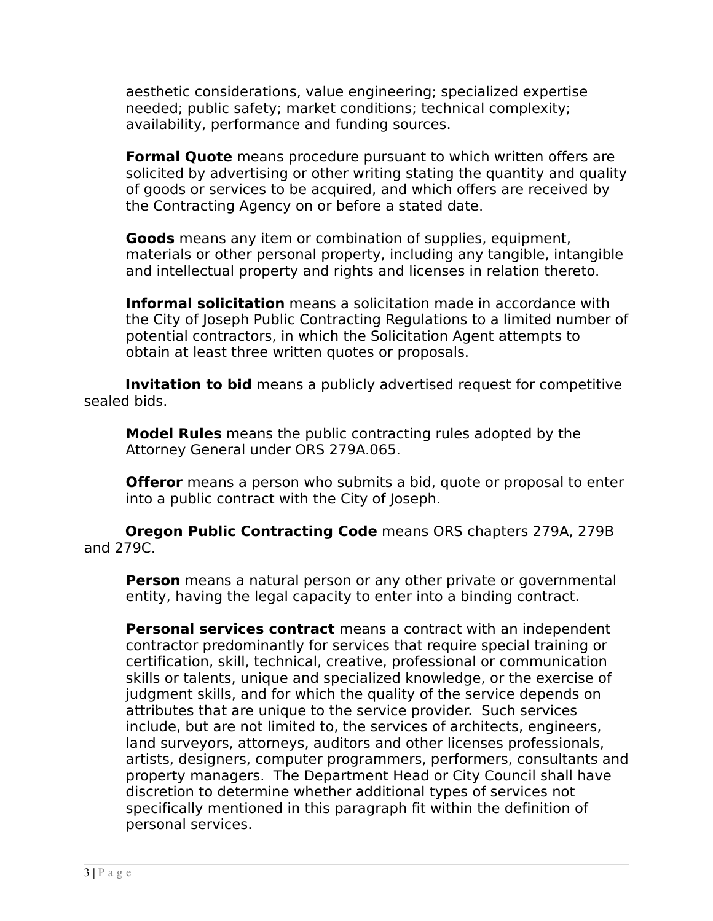aesthetic considerations, value engineering; specialized expertise needed; public safety; market conditions; technical complexity; availability, performance and funding sources.

**Formal Quote** means procedure pursuant to which written offers are solicited by advertising or other writing stating the quantity and quality of goods or services to be acquired, and which offers are received by the Contracting Agency on or before a stated date.

**Goods** means any item or combination of supplies, equipment, materials or other personal property, including any tangible, intangible and intellectual property and rights and licenses in relation thereto.

**Informal solicitation** means a solicitation made in accordance with the City of Joseph Public Contracting Regulations to a limited number of potential contractors, in which the Solicitation Agent attempts to obtain at least three written quotes or proposals.

**Invitation to bid** means a publicly advertised request for competitive sealed bids.

**Model Rules** means the public contracting rules adopted by the Attorney General under ORS 279A.065.

**Offeror** means a person who submits a bid, quote or proposal to enter into a public contract with the City of Joseph.

**Oregon Public Contracting Code** means ORS chapters 279A, 279B and 279C.

**Person** means a natural person or any other private or governmental entity, having the legal capacity to enter into a binding contract.

**Personal services contract** means a contract with an independent contractor predominantly for services that require special training or certification, skill, technical, creative, professional or communication skills or talents, unique and specialized knowledge, or the exercise of judgment skills, and for which the quality of the service depends on attributes that are unique to the service provider. Such services include, but are not limited to, the services of architects, engineers, land surveyors, attorneys, auditors and other licenses professionals, artists, designers, computer programmers, performers, consultants and property managers. The Department Head or City Council shall have discretion to determine whether additional types of services not specifically mentioned in this paragraph fit within the definition of personal services.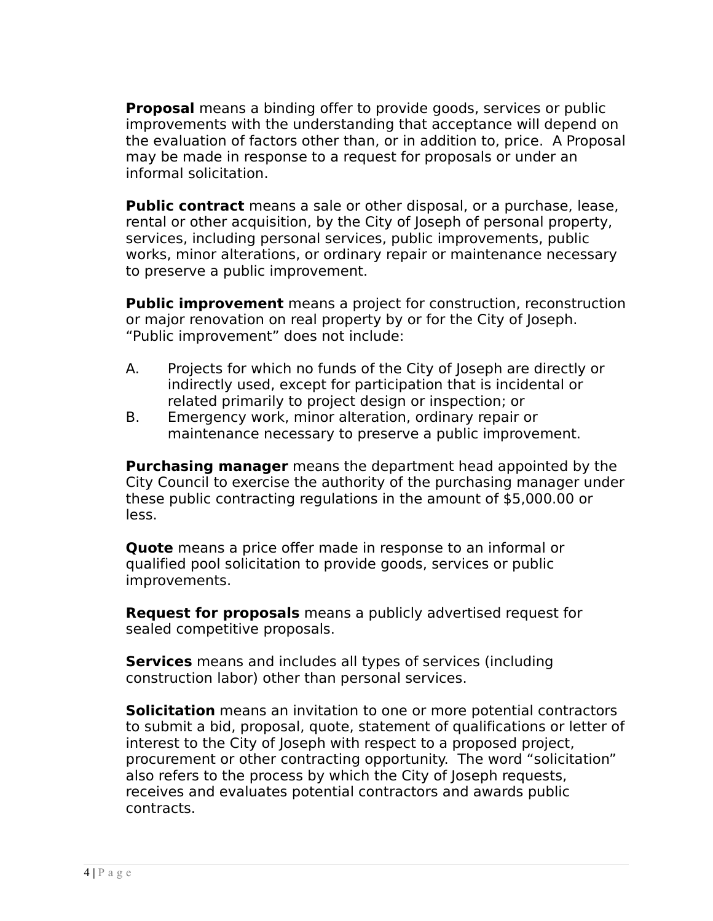**Proposal** means a binding offer to provide goods, services or public improvements with the understanding that acceptance will depend on the evaluation of factors other than, or in addition to, price. A Proposal may be made in response to a request for proposals or under an informal solicitation.

**Public contract** means a sale or other disposal, or a purchase, lease, rental or other acquisition, by the City of Joseph of personal property, services, including personal services, public improvements, public works, minor alterations, or ordinary repair or maintenance necessary to preserve a public improvement.

**Public improvement** means a project for construction, reconstruction or major renovation on real property by or for the City of Joseph. "Public improvement" does not include:

- A. Projects for which no funds of the City of Joseph are directly or indirectly used, except for participation that is incidental or related primarily to project design or inspection; or
- B. Emergency work, minor alteration, ordinary repair or maintenance necessary to preserve a public improvement.

**Purchasing manager** means the department head appointed by the City Council to exercise the authority of the purchasing manager under these public contracting regulations in the amount of \$5,000.00 or less.

**Quote** means a price offer made in response to an informal or qualified pool solicitation to provide goods, services or public improvements.

**Request for proposals** means a publicly advertised request for sealed competitive proposals.

**Services** means and includes all types of services (including construction labor) other than personal services.

**Solicitation** means an invitation to one or more potential contractors to submit a bid, proposal, quote, statement of qualifications or letter of interest to the City of Joseph with respect to a proposed project, procurement or other contracting opportunity. The word "solicitation" also refers to the process by which the City of Joseph requests, receives and evaluates potential contractors and awards public contracts.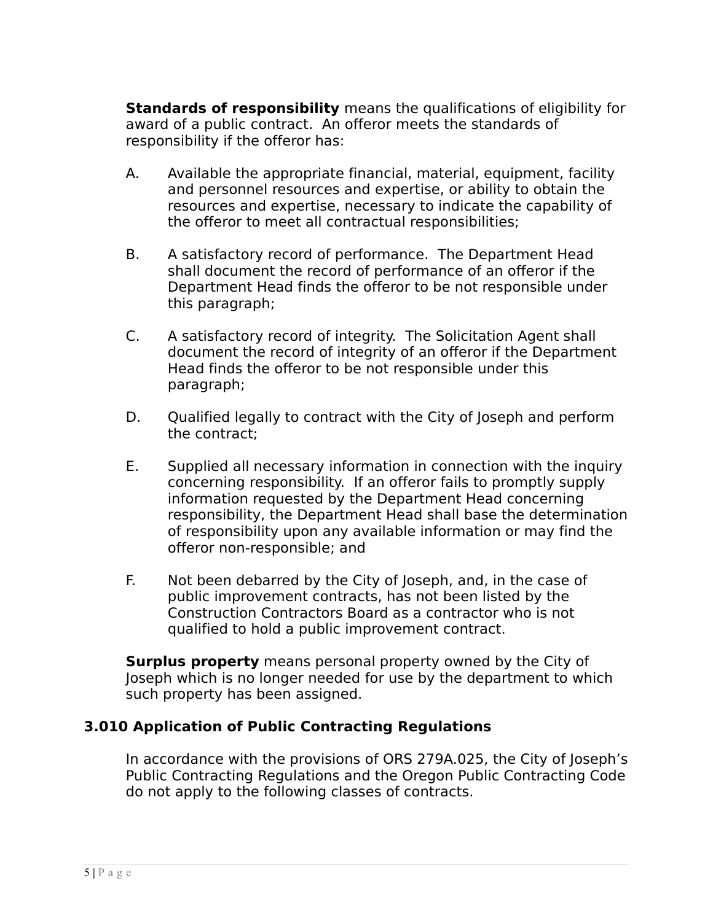**Standards of responsibility** means the qualifications of eligibility for award of a public contract. An offeror meets the standards of responsibility if the offeror has:

- A. Available the appropriate financial, material, equipment, facility and personnel resources and expertise, or ability to obtain the resources and expertise, necessary to indicate the capability of the offeror to meet all contractual responsibilities;
- B. A satisfactory record of performance. The Department Head shall document the record of performance of an offeror if the Department Head finds the offeror to be not responsible under this paragraph;
- C. A satisfactory record of integrity. The Solicitation Agent shall document the record of integrity of an offeror if the Department Head finds the offeror to be not responsible under this paragraph;
- D. Qualified legally to contract with the City of Joseph and perform the contract;
- E. Supplied all necessary information in connection with the inquiry concerning responsibility. If an offeror fails to promptly supply information requested by the Department Head concerning responsibility, the Department Head shall base the determination of responsibility upon any available information or may find the offeror non-responsible; and
- F. Not been debarred by the City of Joseph, and, in the case of public improvement contracts, has not been listed by the Construction Contractors Board as a contractor who is not qualified to hold a public improvement contract.

**Surplus property** means personal property owned by the City of Joseph which is no longer needed for use by the department to which such property has been assigned.

## **3.010 Application of Public Contracting Regulations**

In accordance with the provisions of ORS 279A.025, the City of Joseph's Public Contracting Regulations and the Oregon Public Contracting Code do not apply to the following classes of contracts.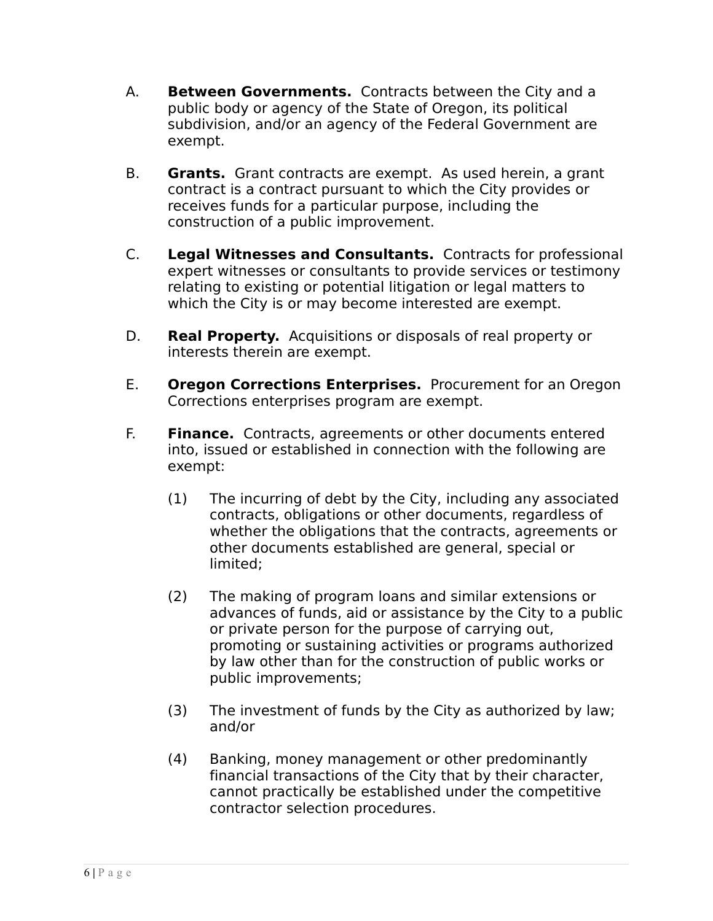- A. **Between Governments.** Contracts between the City and a public body or agency of the State of Oregon, its political subdivision, and/or an agency of the Federal Government are exempt.
- B. **Grants.** Grant contracts are exempt. As used herein, a grant contract is a contract pursuant to which the City provides or receives funds for a particular purpose, including the construction of a public improvement.
- C. **Legal Witnesses and Consultants.** Contracts for professional expert witnesses or consultants to provide services or testimony relating to existing or potential litigation or legal matters to which the City is or may become interested are exempt.
- D. **Real Property.** Acquisitions or disposals of real property or interests therein are exempt.
- E. **Oregon Corrections Enterprises.** Procurement for an Oregon Corrections enterprises program are exempt.
- F. **Finance.** Contracts, agreements or other documents entered into, issued or established in connection with the following are exempt:
	- (1) The incurring of debt by the City, including any associated contracts, obligations or other documents, regardless of whether the obligations that the contracts, agreements or other documents established are general, special or limited;
	- (2) The making of program loans and similar extensions or advances of funds, aid or assistance by the City to a public or private person for the purpose of carrying out, promoting or sustaining activities or programs authorized by law other than for the construction of public works or public improvements;
	- (3) The investment of funds by the City as authorized by law; and/or
	- (4) Banking, money management or other predominantly financial transactions of the City that by their character, cannot practically be established under the competitive contractor selection procedures.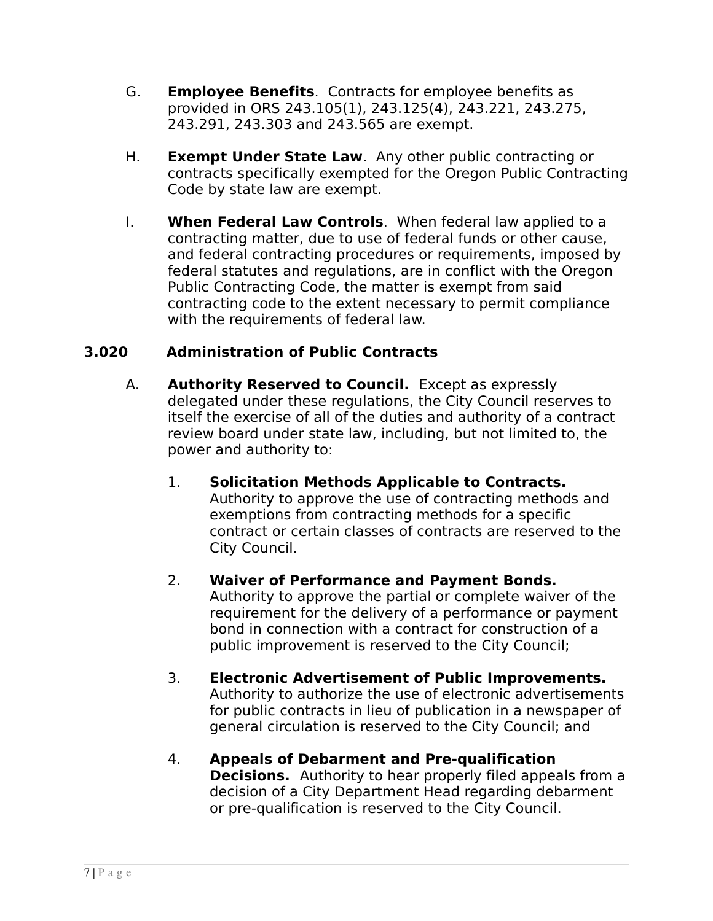- G. **Employee Benefits**. Contracts for employee benefits as provided in ORS 243.105(1), 243.125(4), 243.221, 243.275, 243.291, 243.303 and 243.565 are exempt.
- H. **Exempt Under State Law**. Any other public contracting or contracts specifically exempted for the Oregon Public Contracting Code by state law are exempt.
- I. **When Federal Law Controls**. When federal law applied to a contracting matter, due to use of federal funds or other cause, and federal contracting procedures or requirements, imposed by federal statutes and regulations, are in conflict with the Oregon Public Contracting Code, the matter is exempt from said contracting code to the extent necessary to permit compliance with the requirements of federal law.

## **3.020 Administration of Public Contracts**

- A. **Authority Reserved to Council.** Except as expressly delegated under these regulations, the City Council reserves to itself the exercise of all of the duties and authority of a contract review board under state law, including, but not limited to, the power and authority to:
	- 1. **Solicitation Methods Applicable to Contracts.** Authority to approve the use of contracting methods and exemptions from contracting methods for a specific contract or certain classes of contracts are reserved to the City Council.

#### 2. **Waiver of Performance and Payment Bonds.**

Authority to approve the partial or complete waiver of the requirement for the delivery of a performance or payment bond in connection with a contract for construction of a public improvement is reserved to the City Council;

#### 3. **Electronic Advertisement of Public Improvements.** Authority to authorize the use of electronic advertisements for public contracts in lieu of publication in a newspaper of general circulation is reserved to the City Council; and

4. **Appeals of Debarment and Pre-qualification Decisions.** Authority to hear properly filed appeals from a decision of a City Department Head regarding debarment or pre-qualification is reserved to the City Council.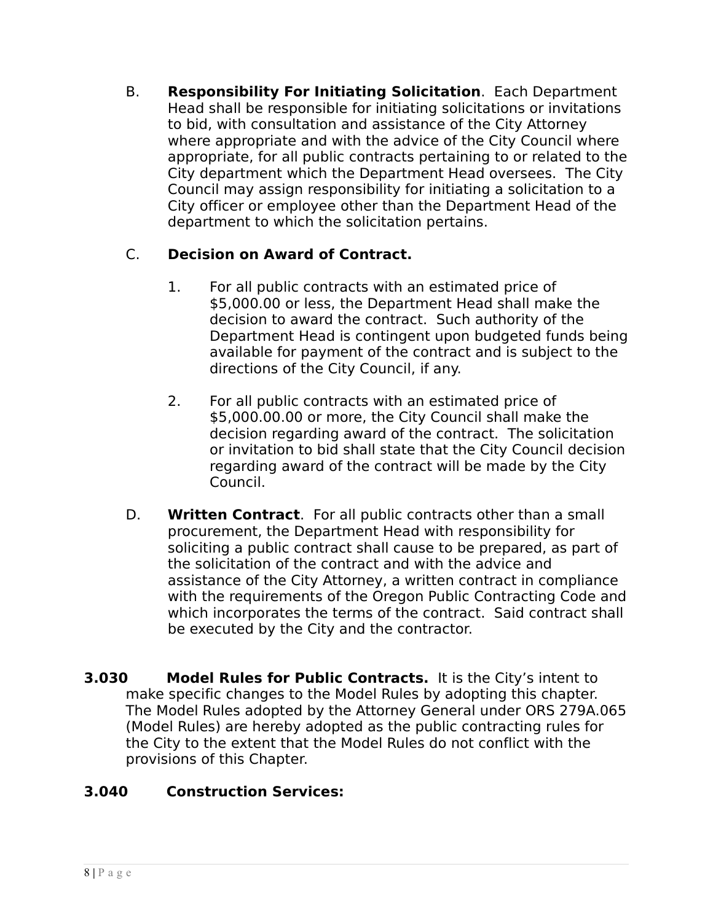B. **Responsibility For Initiating Solicitation**. Each Department Head shall be responsible for initiating solicitations or invitations to bid, with consultation and assistance of the City Attorney where appropriate and with the advice of the City Council where appropriate, for all public contracts pertaining to or related to the City department which the Department Head oversees. The City Council may assign responsibility for initiating a solicitation to a City officer or employee other than the Department Head of the department to which the solicitation pertains.

## C. **Decision on Award of Contract.**

- 1. For all public contracts with an estimated price of \$5,000.00 or less, the Department Head shall make the decision to award the contract. Such authority of the Department Head is contingent upon budgeted funds being available for payment of the contract and is subject to the directions of the City Council, if any.
- 2. For all public contracts with an estimated price of \$5,000.00.00 or more, the City Council shall make the decision regarding award of the contract. The solicitation or invitation to bid shall state that the City Council decision regarding award of the contract will be made by the City Council.
- D. **Written Contract**. For all public contracts other than a small procurement, the Department Head with responsibility for soliciting a public contract shall cause to be prepared, as part of the solicitation of the contract and with the advice and assistance of the City Attorney, a written contract in compliance with the requirements of the Oregon Public Contracting Code and which incorporates the terms of the contract. Said contract shall be executed by the City and the contractor.
- **3.030 Model Rules for Public Contracts.** It is the City's intent to make specific changes to the Model Rules by adopting this chapter. The Model Rules adopted by the Attorney General under ORS 279A.065 (Model Rules) are hereby adopted as the public contracting rules for the City to the extent that the Model Rules do not conflict with the provisions of this Chapter.

# **3.040 Construction Services:**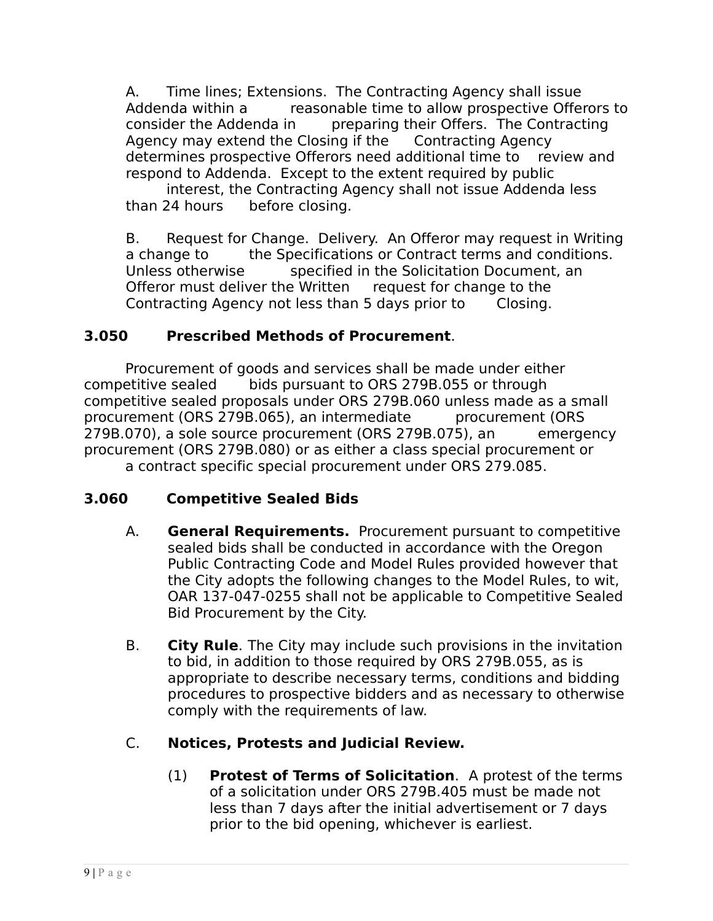A. Time lines; Extensions. The Contracting Agency shall issue Addenda within a reasonable time to allow prospective Offerors to consider the Addenda in preparing their Offers. The Contracting Agency may extend the Closing if the Contracting Agency determines prospective Offerors need additional time to review and respond to Addenda. Except to the extent required by public

interest, the Contracting Agency shall not issue Addenda less than 24 hours before closing.

B. Request for Change. Delivery. An Offeror may request in Writing a change to the Specifications or Contract terms and conditions. Unless otherwise specified in the Solicitation Document, an Offeror must deliver the Written request for change to the Contracting Agency not less than 5 days prior to Closing.

## **3.050 Prescribed Methods of Procurement**.

Procurement of goods and services shall be made under either competitive sealed bids pursuant to ORS 279B.055 or through competitive sealed proposals under ORS 279B.060 unless made as a small procurement (ORS 279B.065), an intermediate procurement (ORS 279B.070), a sole source procurement (ORS 279B.075), an emergency procurement (ORS 279B.080) or as either a class special procurement or a contract specific special procurement under ORS 279.085.

## **3.060 Competitive Sealed Bids**

- A. **General Requirements.** Procurement pursuant to competitive sealed bids shall be conducted in accordance with the Oregon Public Contracting Code and Model Rules provided however that the City adopts the following changes to the Model Rules, to wit, OAR 137-047-0255 shall not be applicable to Competitive Sealed Bid Procurement by the City.
- B. **City Rule**. The City may include such provisions in the invitation to bid, in addition to those required by ORS 279B.055, as is appropriate to describe necessary terms, conditions and bidding procedures to prospective bidders and as necessary to otherwise comply with the requirements of law.

# C. **Notices, Protests and Judicial Review.**

(1) **Protest of Terms of Solicitation**.A protest of the terms of a solicitation under ORS 279B.405 must be made not less than 7 days after the initial advertisement or 7 days prior to the bid opening, whichever is earliest.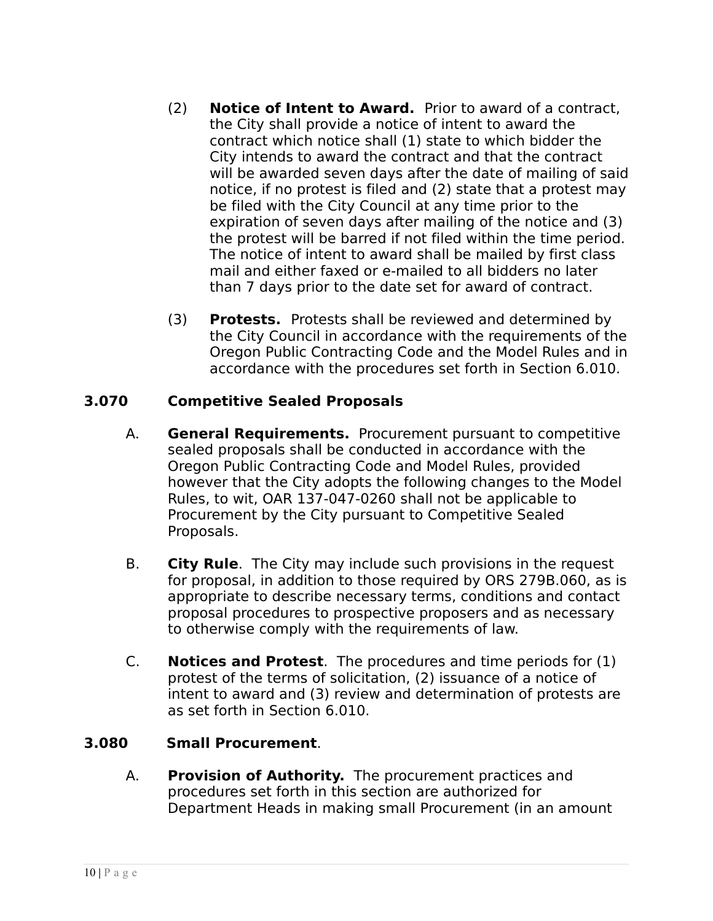- (2) **Notice of Intent to Award.** Prior to award of a contract, the City shall provide a notice of intent to award the contract which notice shall (1) state to which bidder the City intends to award the contract and that the contract will be awarded seven days after the date of mailing of said notice, if no protest is filed and (2) state that a protest may be filed with the City Council at any time prior to the expiration of seven days after mailing of the notice and (3) the protest will be barred if not filed within the time period. The notice of intent to award shall be mailed by first class mail and either faxed or e-mailed to all bidders no later than 7 days prior to the date set for award of contract.
- (3) **Protests.** Protests shall be reviewed and determined by the City Council in accordance with the requirements of the Oregon Public Contracting Code and the Model Rules and in accordance with the procedures set forth in Section 6.010.

## **3.070 Competitive Sealed Proposals**

- A. **General Requirements.** Procurement pursuant to competitive sealed proposals shall be conducted in accordance with the Oregon Public Contracting Code and Model Rules, provided however that the City adopts the following changes to the Model Rules, to wit, OAR 137-047-0260 shall not be applicable to Procurement by the City pursuant to Competitive Sealed Proposals.
- B. **City Rule**. The City may include such provisions in the request for proposal, in addition to those required by ORS 279B.060, as is appropriate to describe necessary terms, conditions and contact proposal procedures to prospective proposers and as necessary to otherwise comply with the requirements of law.
- C. **Notices and Protest**. The procedures and time periods for (1) protest of the terms of solicitation, (2) issuance of a notice of intent to award and (3) review and determination of protests are as set forth in Section 6.010.

#### **3.080 Small Procurement**.

A. **Provision of Authority.** The procurement practices and procedures set forth in this section are authorized for Department Heads in making small Procurement (in an amount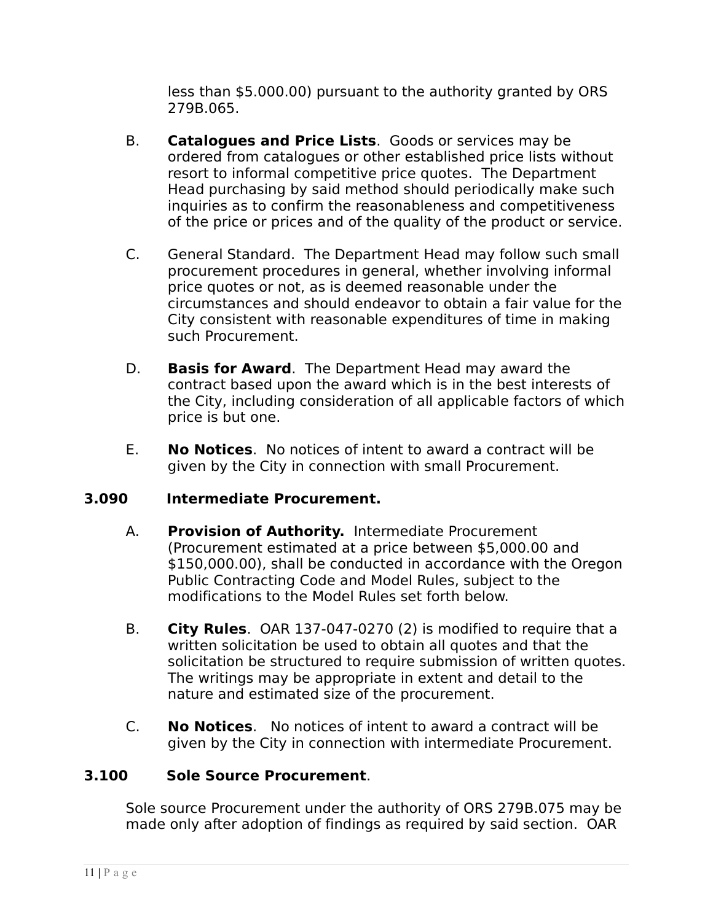less than \$5.000.00) pursuant to the authority granted by ORS 279B.065.

- B. **Catalogues and Price Lists**. Goods or services may be ordered from catalogues or other established price lists without resort to informal competitive price quotes. The Department Head purchasing by said method should periodically make such inquiries as to confirm the reasonableness and competitiveness of the price or prices and of the quality of the product or service.
- C. General Standard. The Department Head may follow such small procurement procedures in general, whether involving informal price quotes or not, as is deemed reasonable under the circumstances and should endeavor to obtain a fair value for the City consistent with reasonable expenditures of time in making such Procurement.
- D. **Basis for Award**. The Department Head may award the contract based upon the award which is in the best interests of the City, including consideration of all applicable factors of which price is but one.
- E. **No Notices**. No notices of intent to award a contract will be given by the City in connection with small Procurement.

## **3.090 Intermediate Procurement.**

- A. **Provision of Authority.** Intermediate Procurement (Procurement estimated at a price between \$5,000.00 and \$150,000.00), shall be conducted in accordance with the Oregon Public Contracting Code and Model Rules, subject to the modifications to the Model Rules set forth below.
- B. **City Rules**. OAR 137-047-0270 (2) is modified to require that a written solicitation be used to obtain all quotes and that the solicitation be structured to require submission of written quotes. The writings may be appropriate in extent and detail to the nature and estimated size of the procurement.
- C. **No Notices**. No notices of intent to award a contract will be given by the City in connection with intermediate Procurement.

## **3.100 Sole Source Procurement**.

Sole source Procurement under the authority of ORS 279B.075 may be made only after adoption of findings as required by said section. OAR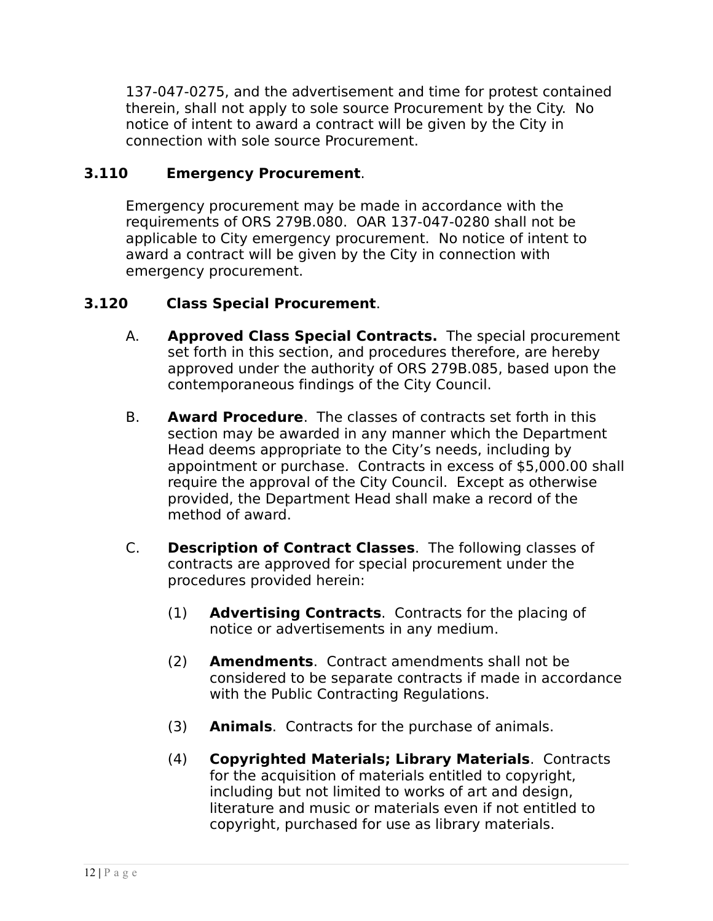137-047-0275, and the advertisement and time for protest contained therein, shall not apply to sole source Procurement by the City. No notice of intent to award a contract will be given by the City in connection with sole source Procurement.

## **3.110 Emergency Procurement**.

Emergency procurement may be made in accordance with the requirements of ORS 279B.080. OAR 137-047-0280 shall not be applicable to City emergency procurement. No notice of intent to award a contract will be given by the City in connection with emergency procurement.

## **3.120 Class Special Procurement**.

- A. **Approved Class Special Contracts.** The special procurement set forth in this section, and procedures therefore, are hereby approved under the authority of ORS 279B.085, based upon the contemporaneous findings of the City Council.
- B. **Award Procedure**. The classes of contracts set forth in this section may be awarded in any manner which the Department Head deems appropriate to the City's needs, including by appointment or purchase. Contracts in excess of \$5,000.00 shall require the approval of the City Council. Except as otherwise provided, the Department Head shall make a record of the method of award.
- C. **Description of Contract Classes**. The following classes of contracts are approved for special procurement under the procedures provided herein:
	- (1) **Advertising Contracts**. Contracts for the placing of notice or advertisements in any medium.
	- (2) **Amendments**. Contract amendments shall not be considered to be separate contracts if made in accordance with the Public Contracting Regulations.
	- (3) **Animals**. Contracts for the purchase of animals.
	- (4) **Copyrighted Materials; Library Materials**. Contracts for the acquisition of materials entitled to copyright, including but not limited to works of art and design, literature and music or materials even if not entitled to copyright, purchased for use as library materials.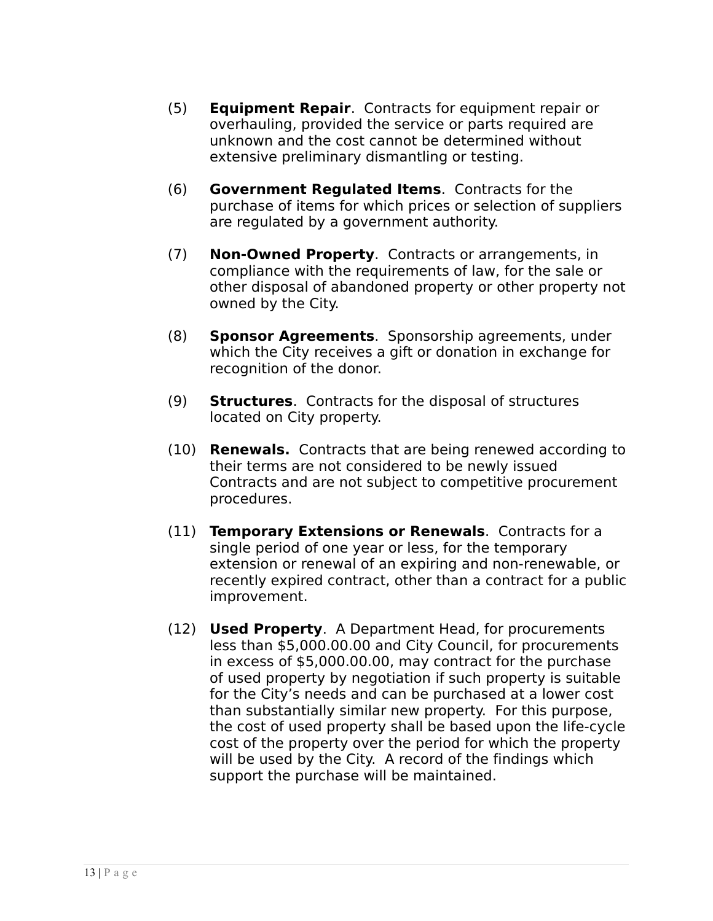- (5) **Equipment Repair**. Contracts for equipment repair or overhauling, provided the service or parts required are unknown and the cost cannot be determined without extensive preliminary dismantling or testing.
- (6) **Government Regulated Items**. Contracts for the purchase of items for which prices or selection of suppliers are regulated by a government authority.
- (7) **Non-Owned Property**. Contracts or arrangements, in compliance with the requirements of law, for the sale or other disposal of abandoned property or other property not owned by the City.
- (8) **Sponsor Agreements**. Sponsorship agreements, under which the City receives a gift or donation in exchange for recognition of the donor.
- (9) **Structures**. Contracts for the disposal of structures located on City property.
- (10) **Renewals.** Contracts that are being renewed according to their terms are not considered to be newly issued Contracts and are not subject to competitive procurement procedures.
- (11) **Temporary Extensions or Renewals**. Contracts for a single period of one year or less, for the temporary extension or renewal of an expiring and non-renewable, or recently expired contract, other than a contract for a public improvement.
- (12) **Used Property**. A Department Head, for procurements less than \$5,000.00.00 and City Council, for procurements in excess of \$5,000.00.00, may contract for the purchase of used property by negotiation if such property is suitable for the City's needs and can be purchased at a lower cost than substantially similar new property. For this purpose, the cost of used property shall be based upon the life-cycle cost of the property over the period for which the property will be used by the City. A record of the findings which support the purchase will be maintained.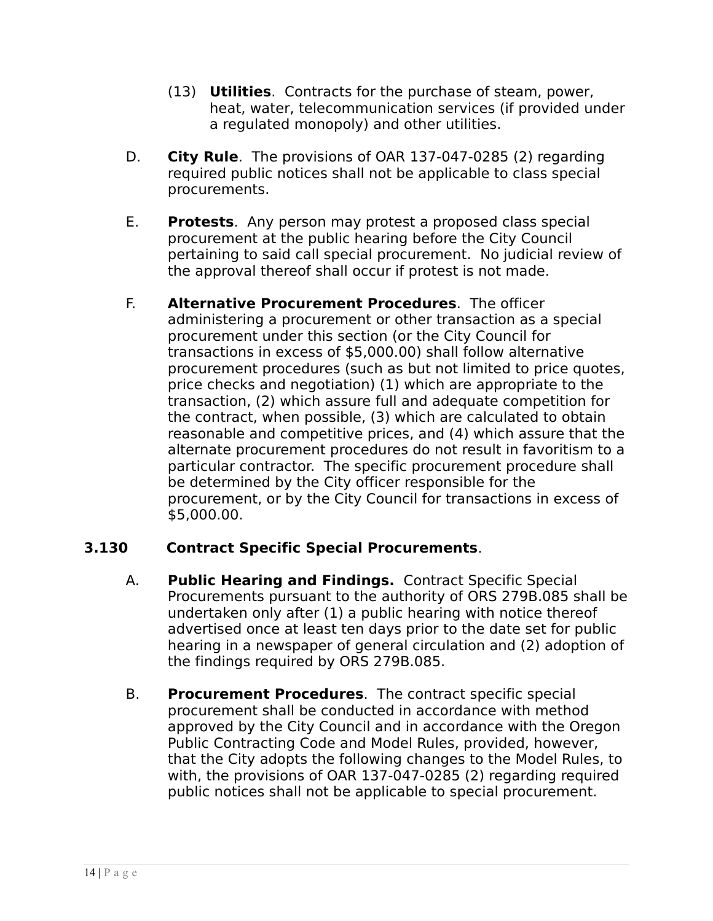- (13) **Utilities**. Contracts for the purchase of steam, power, heat, water, telecommunication services (if provided under a regulated monopoly) and other utilities.
- D. **City Rule**. The provisions of OAR 137-047-0285 (2) regarding required public notices shall not be applicable to class special procurements.
- E. **Protests**. Any person may protest a proposed class special procurement at the public hearing before the City Council pertaining to said call special procurement. No judicial review of the approval thereof shall occur if protest is not made.
- F. **Alternative Procurement Procedures**. The officer administering a procurement or other transaction as a special procurement under this section (or the City Council for transactions in excess of \$5,000.00) shall follow alternative procurement procedures (such as but not limited to price quotes, price checks and negotiation) (1) which are appropriate to the transaction, (2) which assure full and adequate competition for the contract, when possible, (3) which are calculated to obtain reasonable and competitive prices, and (4) which assure that the alternate procurement procedures do not result in favoritism to a particular contractor. The specific procurement procedure shall be determined by the City officer responsible for the procurement, or by the City Council for transactions in excess of \$5,000.00.

## **3.130 Contract Specific Special Procurements**.

- A. **Public Hearing and Findings.** Contract Specific Special Procurements pursuant to the authority of ORS 279B.085 shall be undertaken only after (1) a public hearing with notice thereof advertised once at least ten days prior to the date set for public hearing in a newspaper of general circulation and (2) adoption of the findings required by ORS 279B.085.
- B. **Procurement Procedures**. The contract specific special procurement shall be conducted in accordance with method approved by the City Council and in accordance with the Oregon Public Contracting Code and Model Rules, provided, however, that the City adopts the following changes to the Model Rules, to with, the provisions of OAR 137-047-0285 (2) regarding required public notices shall not be applicable to special procurement.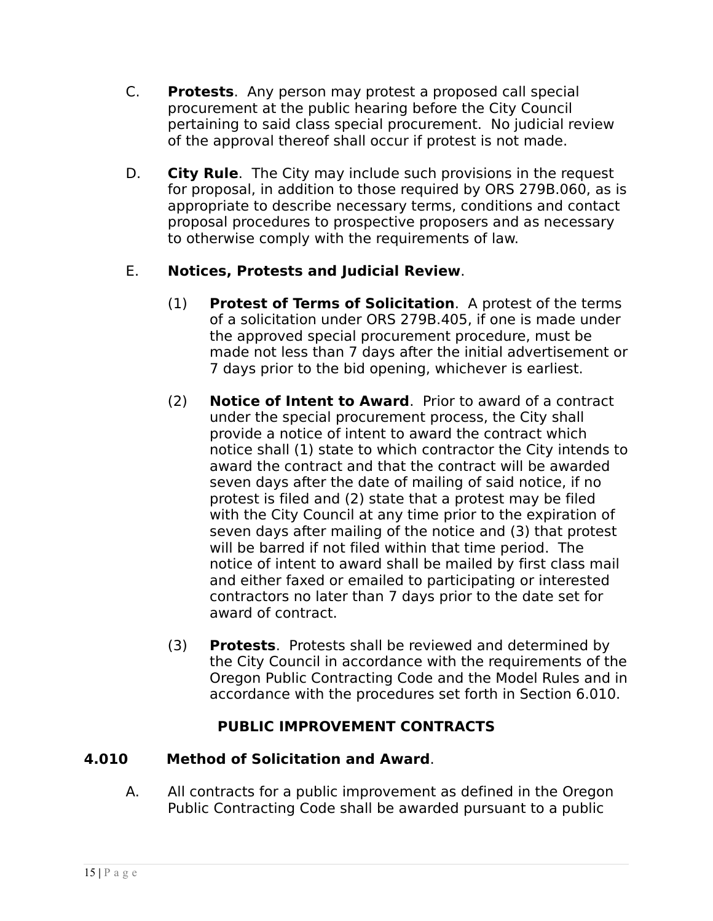- C. **Protests**. Any person may protest a proposed call special procurement at the public hearing before the City Council pertaining to said class special procurement. No judicial review of the approval thereof shall occur if protest is not made.
- D. **City Rule**. The City may include such provisions in the request for proposal, in addition to those required by ORS 279B.060, as is appropriate to describe necessary terms, conditions and contact proposal procedures to prospective proposers and as necessary to otherwise comply with the requirements of law.

## E. **Notices, Protests and Judicial Review**.

- (1) **Protest of Terms of Solicitation**. A protest of the terms of a solicitation under ORS 279B.405, if one is made under the approved special procurement procedure, must be made not less than 7 days after the initial advertisement or 7 days prior to the bid opening, whichever is earliest.
- (2) **Notice of Intent to Award**. Prior to award of a contract under the special procurement process, the City shall provide a notice of intent to award the contract which notice shall (1) state to which contractor the City intends to award the contract and that the contract will be awarded seven days after the date of mailing of said notice, if no protest is filed and (2) state that a protest may be filed with the City Council at any time prior to the expiration of seven days after mailing of the notice and (3) that protest will be barred if not filed within that time period. The notice of intent to award shall be mailed by first class mail and either faxed or emailed to participating or interested contractors no later than 7 days prior to the date set for award of contract.
- (3) **Protests**. Protests shall be reviewed and determined by the City Council in accordance with the requirements of the Oregon Public Contracting Code and the Model Rules and in accordance with the procedures set forth in Section 6.010.

# **PUBLIC IMPROVEMENT CONTRACTS**

## **4.010 Method of Solicitation and Award**.

A. All contracts for a public improvement as defined in the Oregon Public Contracting Code shall be awarded pursuant to a public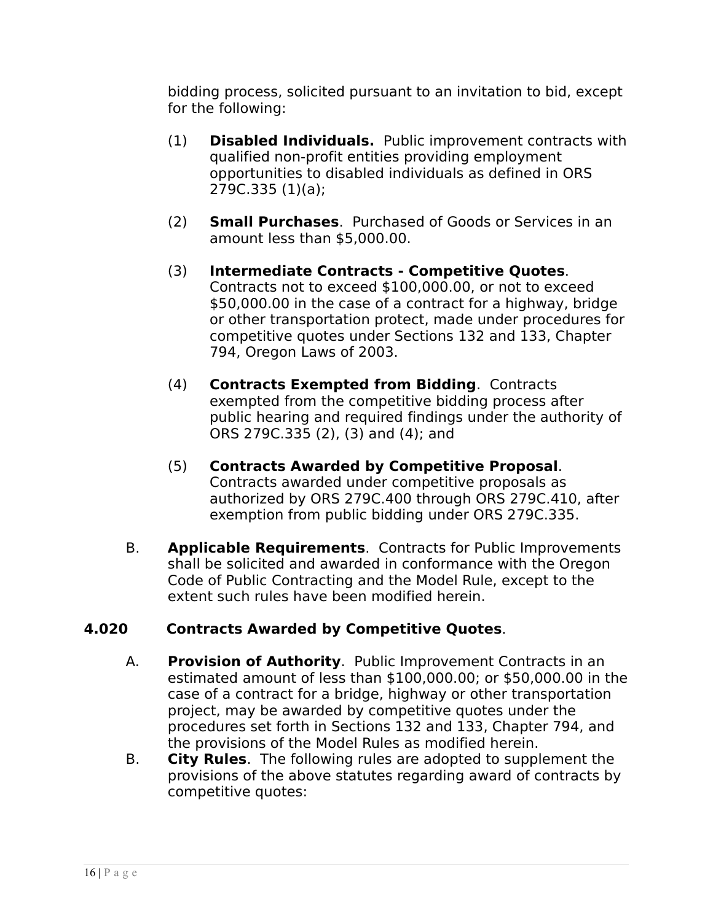bidding process, solicited pursuant to an invitation to bid, except for the following:

- (1) **Disabled Individuals.** Public improvement contracts with qualified non-profit entities providing employment opportunities to disabled individuals as defined in ORS 279C.335 (1)(a);
- (2) **Small Purchases**. Purchased of Goods or Services in an amount less than \$5,000.00.
- (3) **Intermediate Contracts Competitive Quotes**. Contracts not to exceed \$100,000.00, or not to exceed \$50,000.00 in the case of a contract for a highway, bridge or other transportation protect, made under procedures for competitive quotes under Sections 132 and 133, Chapter 794, Oregon Laws of 2003.
- (4) **Contracts Exempted from Bidding**. Contracts exempted from the competitive bidding process after public hearing and required findings under the authority of ORS 279C.335 (2), (3) and (4); and
- (5) **Contracts Awarded by Competitive Proposal**. Contracts awarded under competitive proposals as authorized by ORS 279C.400 through ORS 279C.410, after exemption from public bidding under ORS 279C.335.
- B. **Applicable Requirements**. Contracts for Public Improvements shall be solicited and awarded in conformance with the Oregon Code of Public Contracting and the Model Rule, except to the extent such rules have been modified herein.

# **4.020 Contracts Awarded by Competitive Quotes**.

- A. **Provision of Authority**. Public Improvement Contracts in an estimated amount of less than \$100,000.00; or \$50,000.00 in the case of a contract for a bridge, highway or other transportation project, may be awarded by competitive quotes under the procedures set forth in Sections 132 and 133, Chapter 794, and the provisions of the Model Rules as modified herein.
- B. **City Rules**. The following rules are adopted to supplement the provisions of the above statutes regarding award of contracts by competitive quotes: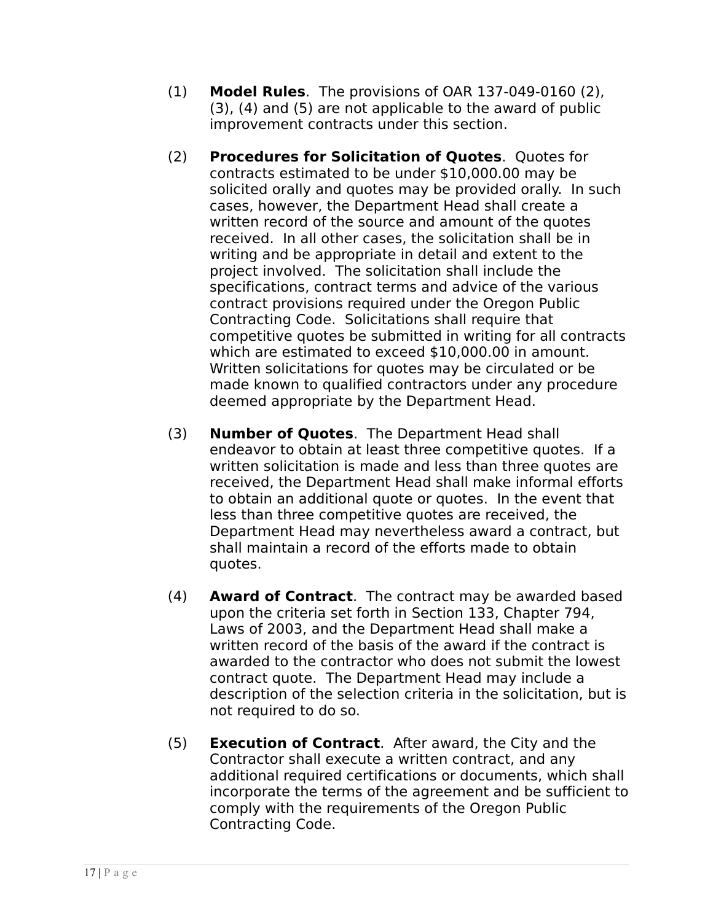- (1) **Model Rules**. The provisions of OAR 137-049-0160 (2), (3), (4) and (5) are not applicable to the award of public improvement contracts under this section.
- (2) **Procedures for Solicitation of Quotes**. Quotes for contracts estimated to be under \$10,000.00 may be solicited orally and quotes may be provided orally. In such cases, however, the Department Head shall create a written record of the source and amount of the quotes received. In all other cases, the solicitation shall be in writing and be appropriate in detail and extent to the project involved. The solicitation shall include the specifications, contract terms and advice of the various contract provisions required under the Oregon Public Contracting Code. Solicitations shall require that competitive quotes be submitted in writing for all contracts which are estimated to exceed \$10,000.00 in amount. Written solicitations for quotes may be circulated or be made known to qualified contractors under any procedure deemed appropriate by the Department Head.
- (3) **Number of Quotes**. The Department Head shall endeavor to obtain at least three competitive quotes. If a written solicitation is made and less than three quotes are received, the Department Head shall make informal efforts to obtain an additional quote or quotes. In the event that less than three competitive quotes are received, the Department Head may nevertheless award a contract, but shall maintain a record of the efforts made to obtain quotes.
- (4) **Award of Contract**. The contract may be awarded based upon the criteria set forth in Section 133, Chapter 794, Laws of 2003, and the Department Head shall make a written record of the basis of the award if the contract is awarded to the contractor who does not submit the lowest contract quote. The Department Head may include a description of the selection criteria in the solicitation, but is not required to do so.
- (5) **Execution of Contract**. After award, the City and the Contractor shall execute a written contract, and any additional required certifications or documents, which shall incorporate the terms of the agreement and be sufficient to comply with the requirements of the Oregon Public Contracting Code.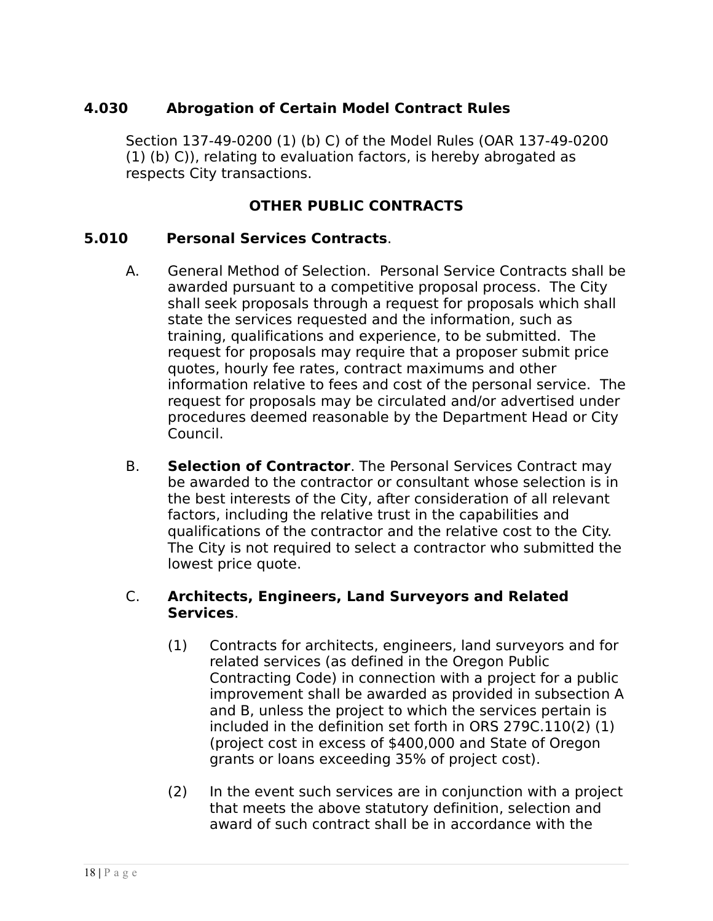## **4.030 Abrogation of Certain Model Contract Rules**

Section 137-49-0200 (1) (b) C) of the Model Rules (OAR 137-49-0200 (1) (b) C)), relating to evaluation factors, is hereby abrogated as respects City transactions.

## **OTHER PUBLIC CONTRACTS**

### **5.010 Personal Services Contracts**.

- A. General Method of Selection. Personal Service Contracts shall be awarded pursuant to a competitive proposal process. The City shall seek proposals through a request for proposals which shall state the services requested and the information, such as training, qualifications and experience, to be submitted. The request for proposals may require that a proposer submit price quotes, hourly fee rates, contract maximums and other information relative to fees and cost of the personal service. The request for proposals may be circulated and/or advertised under procedures deemed reasonable by the Department Head or City Council.
- B. **Selection of Contractor**. The Personal Services Contract may be awarded to the contractor or consultant whose selection is in the best interests of the City, after consideration of all relevant factors, including the relative trust in the capabilities and qualifications of the contractor and the relative cost to the City. The City is not required to select a contractor who submitted the lowest price quote.

#### C. **Architects, Engineers, Land Surveyors and Related Services**.

- (1) Contracts for architects, engineers, land surveyors and for related services (as defined in the Oregon Public Contracting Code) in connection with a project for a public improvement shall be awarded as provided in subsection A and B, unless the project to which the services pertain is included in the definition set forth in ORS 279C.110(2) (1) (project cost in excess of \$400,000 and State of Oregon grants or loans exceeding 35% of project cost).
- (2) In the event such services are in conjunction with a project that meets the above statutory definition, selection and award of such contract shall be in accordance with the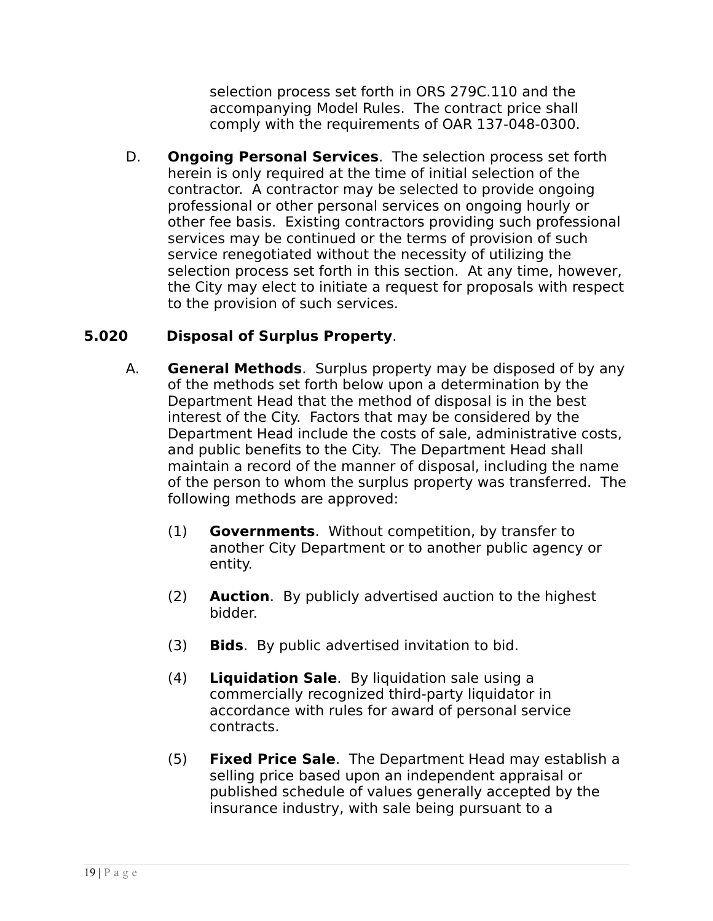selection process set forth in ORS 279C.110 and the accompanying Model Rules. The contract price shall comply with the requirements of OAR 137-048-0300.

D. **Ongoing Personal Services**. The selection process set forth herein is only required at the time of initial selection of the contractor. A contractor may be selected to provide ongoing professional or other personal services on ongoing hourly or other fee basis. Existing contractors providing such professional services may be continued or the terms of provision of such service renegotiated without the necessity of utilizing the selection process set forth in this section. At any time, however, the City may elect to initiate a request for proposals with respect to the provision of such services.

## **5.020 Disposal of Surplus Property**.

- A. **General Methods**. Surplus property may be disposed of by any of the methods set forth below upon a determination by the Department Head that the method of disposal is in the best interest of the City. Factors that may be considered by the Department Head include the costs of sale, administrative costs, and public benefits to the City. The Department Head shall maintain a record of the manner of disposal, including the name of the person to whom the surplus property was transferred. The following methods are approved:
	- (1) **Governments**. Without competition, by transfer to another City Department or to another public agency or entity.
	- (2) **Auction**. By publicly advertised auction to the highest bidder.
	- (3) **Bids**. By public advertised invitation to bid.
	- (4) **Liquidation Sale**. By liquidation sale using a commercially recognized third-party liquidator in accordance with rules for award of personal service contracts.
	- (5) **Fixed Price Sale**. The Department Head may establish a selling price based upon an independent appraisal or published schedule of values generally accepted by the insurance industry, with sale being pursuant to a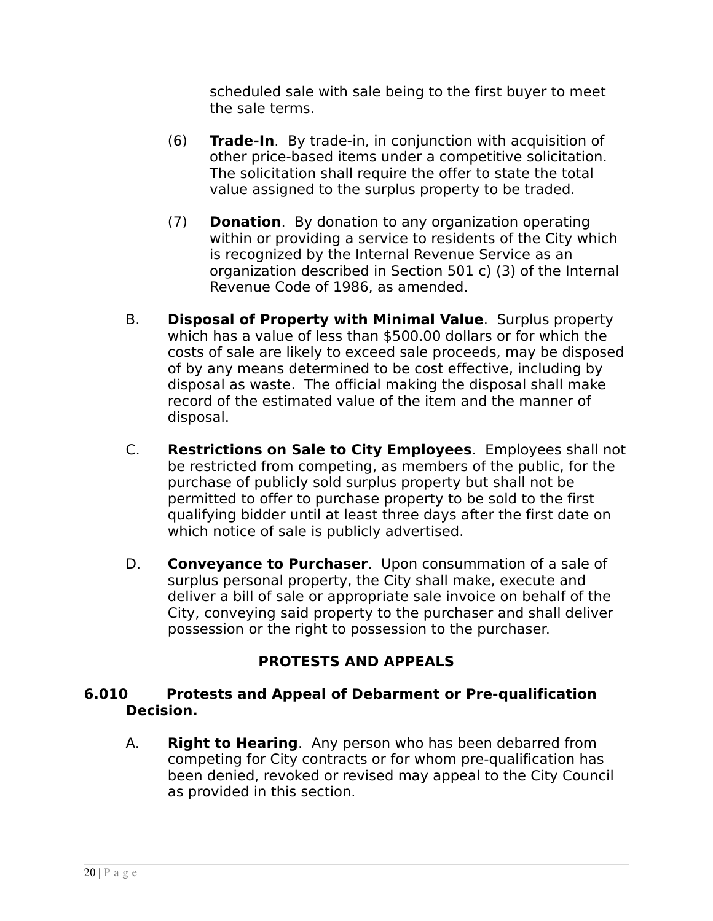scheduled sale with sale being to the first buyer to meet the sale terms.

- (6) **Trade-In**. By trade-in, in conjunction with acquisition of other price-based items under a competitive solicitation. The solicitation shall require the offer to state the total value assigned to the surplus property to be traded.
- (7) **Donation**. By donation to any organization operating within or providing a service to residents of the City which is recognized by the Internal Revenue Service as an organization described in Section 501 c) (3) of the Internal Revenue Code of 1986, as amended.
- B. **Disposal of Property with Minimal Value**. Surplus property which has a value of less than \$500.00 dollars or for which the costs of sale are likely to exceed sale proceeds, may be disposed of by any means determined to be cost effective, including by disposal as waste. The official making the disposal shall make record of the estimated value of the item and the manner of disposal.
- C. **Restrictions on Sale to City Employees**. Employees shall not be restricted from competing, as members of the public, for the purchase of publicly sold surplus property but shall not be permitted to offer to purchase property to be sold to the first qualifying bidder until at least three days after the first date on which notice of sale is publicly advertised.
- D. **Conveyance to Purchaser**. Upon consummation of a sale of surplus personal property, the City shall make, execute and deliver a bill of sale or appropriate sale invoice on behalf of the City, conveying said property to the purchaser and shall deliver possession or the right to possession to the purchaser.

## **PROTESTS AND APPEALS**

#### **6.010 Protests and Appeal of Debarment or Pre-qualification Decision.**

A. **Right to Hearing**. Any person who has been debarred from competing for City contracts or for whom pre-qualification has been denied, revoked or revised may appeal to the City Council as provided in this section.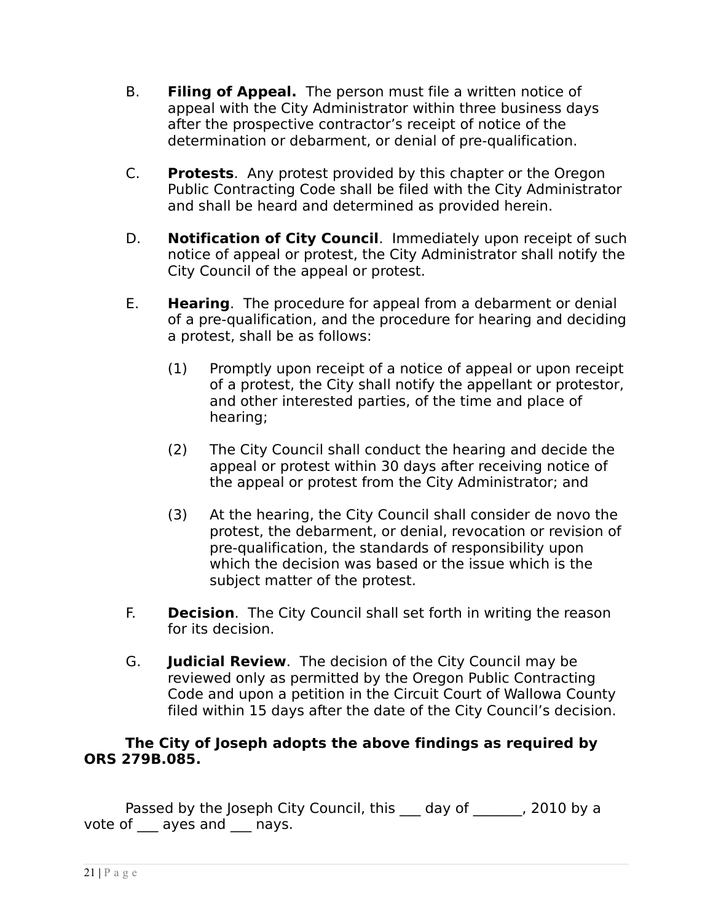- B. **Filing of Appeal.** The person must file a written notice of appeal with the City Administrator within three business days after the prospective contractor's receipt of notice of the determination or debarment, or denial of pre-qualification.
- C. **Protests**. Any protest provided by this chapter or the Oregon Public Contracting Code shall be filed with the City Administrator and shall be heard and determined as provided herein.
- D. **Notification of City Council**. Immediately upon receipt of such notice of appeal or protest, the City Administrator shall notify the City Council of the appeal or protest.
- E. **Hearing**. The procedure for appeal from a debarment or denial of a pre-qualification, and the procedure for hearing and deciding a protest, shall be as follows:
	- (1) Promptly upon receipt of a notice of appeal or upon receipt of a protest, the City shall notify the appellant or protestor, and other interested parties, of the time and place of hearing;
	- (2) The City Council shall conduct the hearing and decide the appeal or protest within 30 days after receiving notice of the appeal or protest from the City Administrator; and
	- (3) At the hearing, the City Council shall consider de novo the protest, the debarment, or denial, revocation or revision of pre-qualification, the standards of responsibility upon which the decision was based or the issue which is the subject matter of the protest.
- F. **Decision**. The City Council shall set forth in writing the reason for its decision.
- G. **Judicial Review**. The decision of the City Council may be reviewed only as permitted by the Oregon Public Contracting Code and upon a petition in the Circuit Court of Wallowa County filed within 15 days after the date of the City Council's decision.

#### **The City of Joseph adopts the above findings as required by ORS 279B.085.**

Passed by the Joseph City Council, this day of , 2010 by a vote of \_\_\_ ayes and \_\_\_ nays.